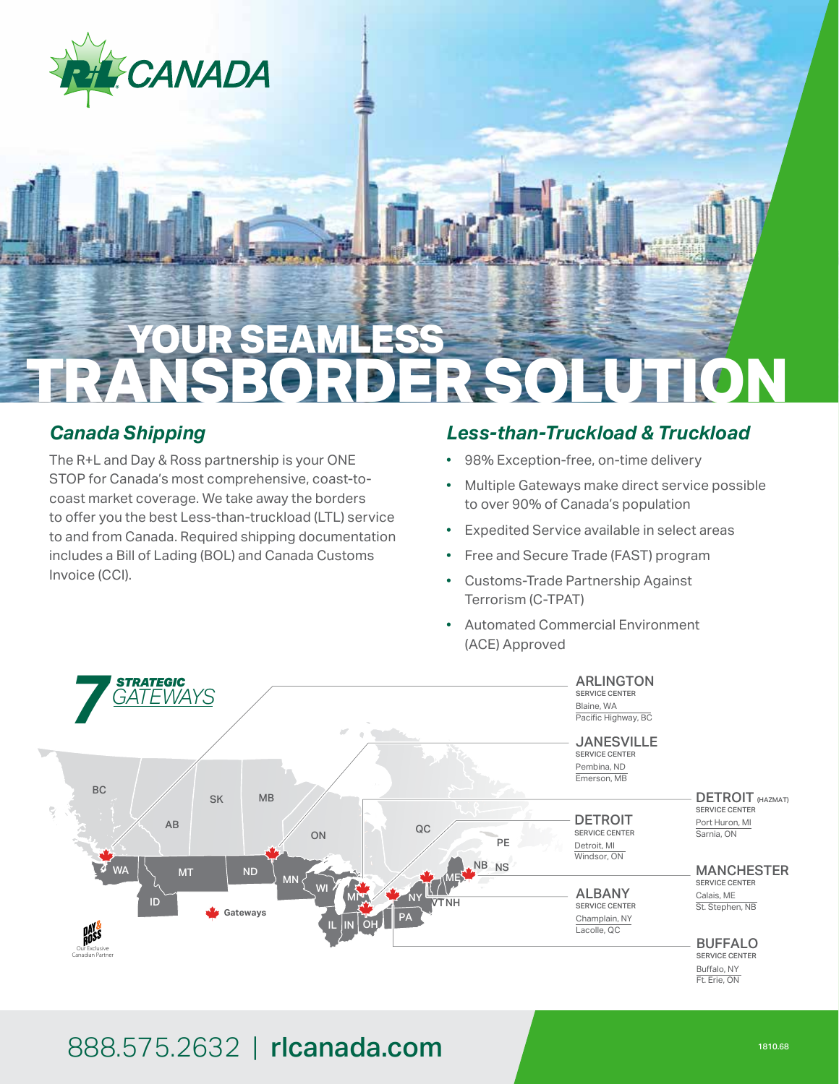

# **YOUR SEAMLESS TRANSBORDER SOLUTION**

#### *Canada Shipping*

The R+L and Day & Ross partnership is your ONE STOP for Canada's most comprehensive, coast-tocoast market coverage. We take away the borders to offer you the best Less-than-truckload (LTL) service to and from Canada. Required shipping documentation includes a Bill of Lading (BOL) and Canada Customs Invoice (CCI).

#### *Less-than-Truckload & Truckload*

- 98% Exception-free, on-time delivery
- Multiple Gateways make direct service possible to over 90% of Canada's population
- Expedited Service available in select areas
- Free and Secure Trade (FAST) program
- Customs-Trade Partnership Against Terrorism (C-TPAT)
- Automated Commercial Environment (ACE) Approved



## 888.575.2632 | rlcanada.com 1810.688.575.2632 | rlcanada.com